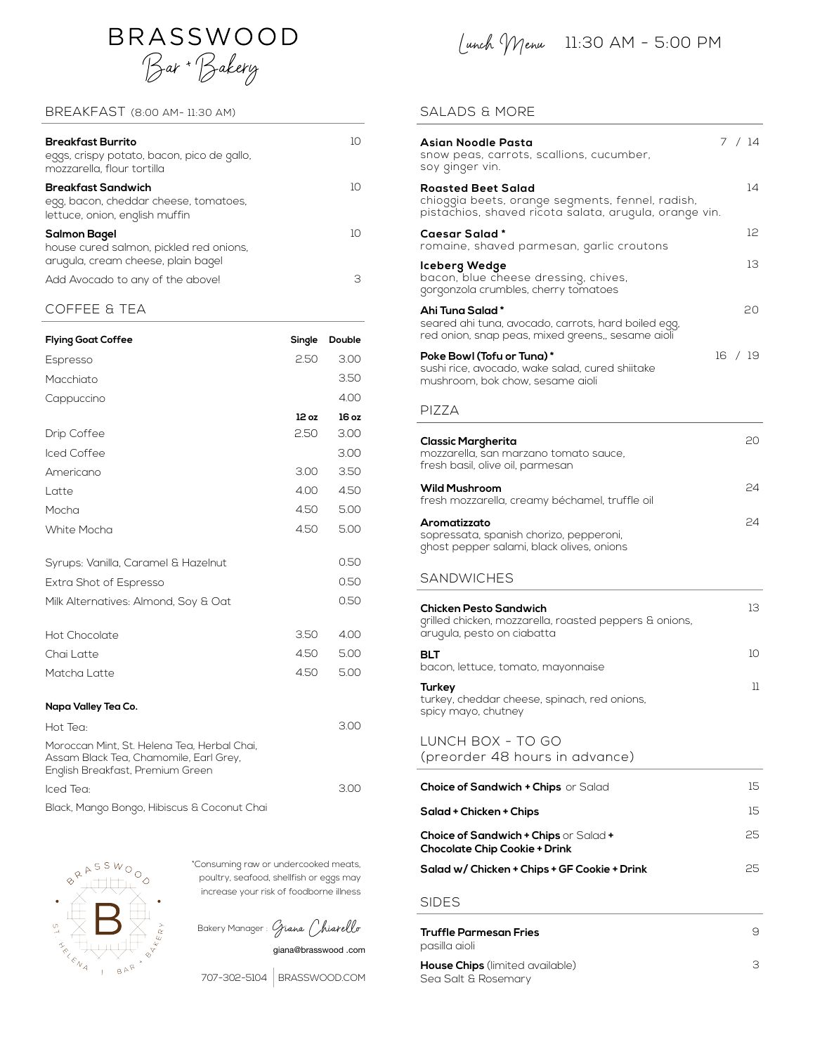

### BREAKFAST (8:00 AM- 11:30 AM)

| <b>Breakfast Burrito</b><br>eggs, crispy potato, bacon, pico de gallo,<br>mozzarella, flour tortilla | IC |
|------------------------------------------------------------------------------------------------------|----|
| Breakfast Sandwich<br>egg, bacon, cheddar cheese, tomatoes,<br>lettuce, onion, english muffin        | 1Ο |
| Salmon Bagel<br>house cured salmon, pickled red onions,<br>arugula, cream cheese, plain bagel        | 10 |
| Add Avocado to any of the above!                                                                     | Э  |

## COFFEE & TEA

| <b>Flying Goat Coffee</b>                                                                                                 | Single | Double |
|---------------------------------------------------------------------------------------------------------------------------|--------|--------|
| Espresso                                                                                                                  | 2.50   | 3.00   |
| Macchiato                                                                                                                 |        | 3.50   |
| Cappuccino                                                                                                                |        | 4.00   |
|                                                                                                                           | 12 oz  | 16 oz  |
| Drip Coffee                                                                                                               | 2.50   | 3.00   |
| Iced Coffee                                                                                                               |        | 3.00   |
| Americano                                                                                                                 | 3.00   | 3.50   |
| Latte                                                                                                                     | 4.00   | 4.50   |
| Mocha                                                                                                                     | 4.50   | 5.00   |
| White Mocha                                                                                                               | 4.50   | 5.00   |
| Syrups: Vanilla, Caramel & Hazelnut                                                                                       |        | 0.50   |
| Extra Shot of Espresso                                                                                                    |        | 0.50   |
| Milk Alternatives: Almond, Soy & Oat                                                                                      |        | 0.50   |
| Hot Chocolate                                                                                                             | 3.50   | 4.00   |
| Chai Latte                                                                                                                | 4.50   | 5.00   |
| Matcha Latte                                                                                                              | 4.50   | 5.00   |
| Napa Valley Tea Co.                                                                                                       |        |        |
| Hot Tea:                                                                                                                  |        | 3.00   |
| Moroccan Mint, St. Helena Tea, Herbal Chai,<br>Assam Black Tea, Chamomile, Earl Grey,<br>English Breakfast, Premium Green |        |        |
| Iced Tea:                                                                                                                 |        | 3.00   |
| Black, Mango Bongo, Hibiscus & Coconut Chai                                                                               |        |        |



\*Consuming raw or undercooked meats, poultry, seafood, shellfish or eggs may increase your risk of foodborne illness

Bakery Manager : Giana Chiarello

giana@brasswood .com

707-302-5104 [BRASSWOOD.COM](http://BRASSWOOD.COM)

Lunch Menu 11:30 AM - 5:00 PM

## SALADS & MORE

| <b>Asian Noodle Pasta</b><br>snow peas, carrots, scallions, cucumber,<br>soy ginger vin.                                                | 7 / 14          |
|-----------------------------------------------------------------------------------------------------------------------------------------|-----------------|
| <b>Roasted Beet Salad</b><br>chioggia beets, orange segments, fennel, radish,<br>pistachios, shaved ricota salata, arugula, orange vin. | 14              |
| <b>Caesar Salad*</b><br>romaine, shaved parmesan, garlic croutons                                                                       | 12              |
| <b>Iceberg Wedge</b><br>bacon, blue cheese dressing, chives,<br>gorgonzola crumbles, cherry tomatoes                                    | 13              |
| Ahi Tuna Salad*<br>seared ahi tuna, avocado, carrots, hard boiled egg,<br>red onion, snap peas, mixed greens,, sesame aioli             | 20              |
| Poke Bowl (Tofu or Tuna)*<br>sushi rice, avocado, wake salad, cured shiitake<br>mushroom, bok chow, sesame aioli                        | 16 / 19         |
| PIZZA                                                                                                                                   |                 |
| <b>Classic Margherita</b><br>mozzarella, san marzano tomato sauce,<br>fresh basil, olive oil, parmesan                                  | 20              |
| <b>Wild Mushroom</b><br>fresh mozzarella, creamy béchamel, truffle oil                                                                  | 24              |
| Aromatizzato<br>sopressata, spanish chorizo, pepperoni,<br>ghost pepper salami, black olives, onions                                    | 24              |
| <b>SANDWICHES</b>                                                                                                                       |                 |
| Chicken Pesto Sandwich<br>grilled chicken, mozzarella, roasted peppers & onions,<br>arugula, pesto on ciabatta                          | 13              |
| <b>BLT</b><br>bacon, lettuce, tomato, mayonnaise                                                                                        | 10              |
| <b>Turkey</b><br>turkey, cheddar cheese, spinach, red onions,<br>spicy mayo, chutney                                                    | 11              |
| LUNCH BOX - TO GO<br>(preorder 48 hours in advance)                                                                                     |                 |
| <b>Choice of Sandwich + Chips</b> or Salad                                                                                              | 15 <sup>2</sup> |
| Salad + Chicken + Chips                                                                                                                 | 15              |
| Choice of Sandwich + Chips or Salad +<br><b>Chocolate Chip Cookie + Drink</b>                                                           | 25              |
| Salad w/ Chicken + Chips + GF Cookie + Drink                                                                                            | 25              |
| <b>SIDES</b>                                                                                                                            |                 |
| <b>Truffle Parmesan Fries</b><br>pasilla aioli                                                                                          | 9               |
| <b>House Chips</b> (limited available)                                                                                                  | З               |